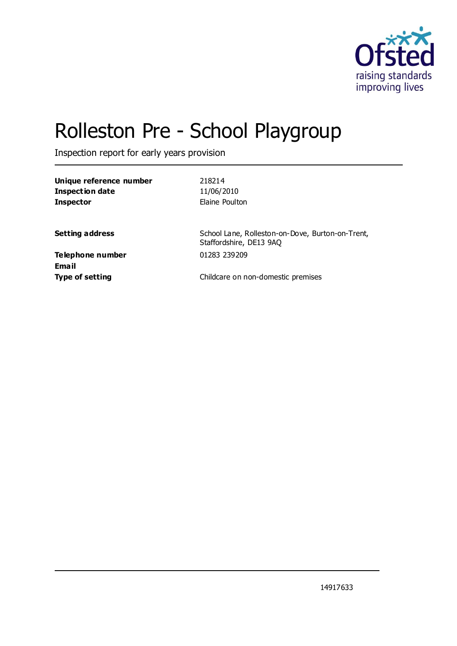

# Rolleston Pre - School Playgroup

Inspection report for early years provision

| Unique reference number<br><b>Inspection date</b> | 218214<br>11/06/2010                                                        |
|---------------------------------------------------|-----------------------------------------------------------------------------|
| <b>Inspector</b>                                  | Elaine Poulton                                                              |
| <b>Setting address</b>                            | School Lane, Rolleston-on-Dove, Burton-on-Trent,<br>Staffordshire, DE13 9AQ |
| Telephone number<br>Email                         | 01283 239209                                                                |
| <b>Type of setting</b>                            | Childcare on non-domestic premises                                          |

14917633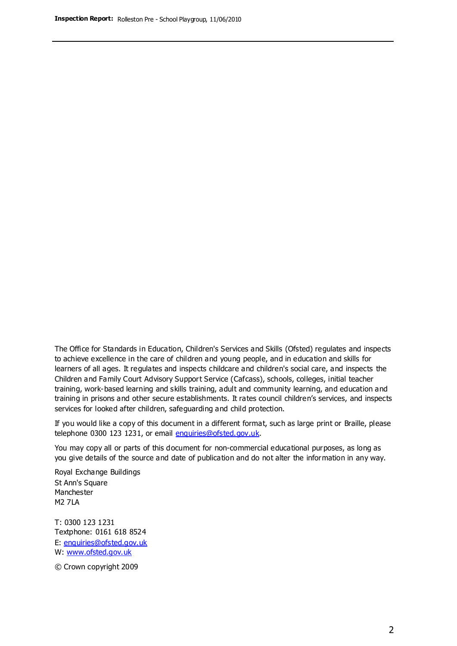The Office for Standards in Education, Children's Services and Skills (Ofsted) regulates and inspects to achieve excellence in the care of children and young people, and in education and skills for learners of all ages. It regulates and inspects childcare and children's social care, and inspects the Children and Family Court Advisory Support Service (Cafcass), schools, colleges, initial teacher training, work-based learning and skills training, adult and community learning, and education and training in prisons and other secure establishments. It rates council children's services, and inspects services for looked after children, safeguarding and child protection.

If you would like a copy of this document in a different format, such as large print or Braille, please telephone 0300 123 1231, or email enquiries@ofsted.gov.uk.

You may copy all or parts of this document for non-commercial educational purposes, as long as you give details of the source and date of publication and do not alter the information in any way.

Royal Exchange Buildings St Ann's Square Manchester M2 7LA

T: 0300 123 1231 Textphone: 0161 618 8524 E: enquiries@ofsted.gov.uk W: [www.ofsted.gov.uk](http://www.ofsted.gov.uk/)

© Crown copyright 2009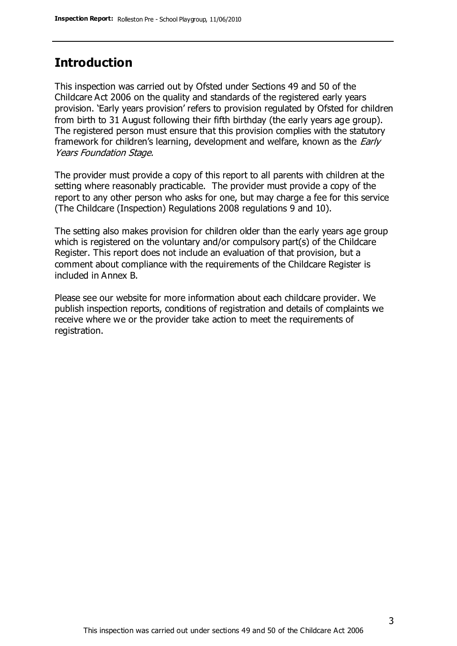#### **Introduction**

This inspection was carried out by Ofsted under Sections 49 and 50 of the Childcare Act 2006 on the quality and standards of the registered early years provision. 'Early years provision' refers to provision regulated by Ofsted for children from birth to 31 August following their fifth birthday (the early years age group). The registered person must ensure that this provision complies with the statutory framework for children's learning, development and welfare, known as the *Early* Years Foundation Stage.

The provider must provide a copy of this report to all parents with children at the setting where reasonably practicable. The provider must provide a copy of the report to any other person who asks for one, but may charge a fee for this service (The Childcare (Inspection) Regulations 2008 regulations 9 and 10).

The setting also makes provision for children older than the early years age group which is registered on the voluntary and/or compulsory part(s) of the Childcare Register. This report does not include an evaluation of that provision, but a comment about compliance with the requirements of the Childcare Register is included in Annex B.

Please see our website for more information about each childcare provider. We publish inspection reports, conditions of registration and details of complaints we receive where we or the provider take action to meet the requirements of registration.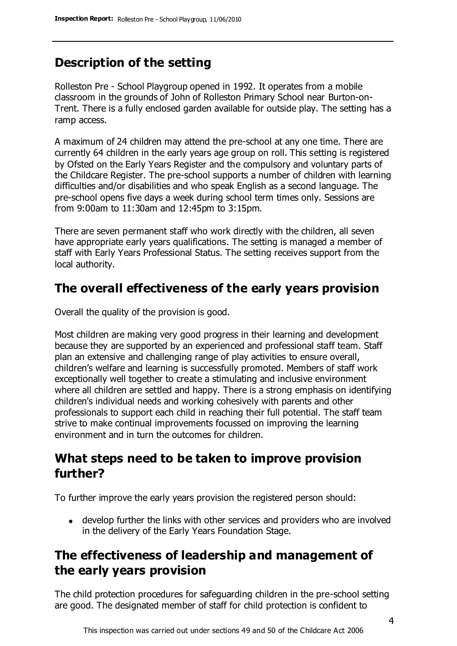# **Description of the setting**

Rolleston Pre - School Playgroup opened in 1992. It operates from a mobile classroom in the grounds of John of Rolleston Primary School near Burton-on-Trent. There is a fully enclosed garden available for outside play. The setting has a ramp access.

A maximum of 24 children may attend the pre-school at any one time. There are currently 64 children in the early years age group on roll. This setting is registered by Ofsted on the Early Years Register and the compulsory and voluntary parts of the Childcare Register. The pre-school supports a number of children with learning difficulties and/or disabilities and who speak English as a second language. The pre-school opens five days a week during school term times only. Sessions are from 9:00am to 11:30am and 12:45pm to 3:15pm.

There are seven permanent staff who work directly with the children, all seven have appropriate early years qualifications. The setting is managed a member of staff with Early Years Professional Status. The setting receives support from the local authority.

## **The overall effectiveness of the early years provision**

Overall the quality of the provision is good.

Most children are making very good progress in their learning and development because they are supported by an experienced and professional staff team. Staff plan an extensive and challenging range of play activities to ensure overall, children's welfare and learning is successfully promoted. Members of staff work exceptionally well together to create a stimulating and inclusive environment where all children are settled and happy. There is a strong emphasis on identifying children's individual needs and working cohesively with parents and other professionals to support each child in reaching their full potential. The staff team strive to make continual improvements focussed on improving the learning environment and in turn the outcomes for children.

#### **What steps need to be taken to improve provision further?**

To further improve the early years provision the registered person should:

develop further the links with other services and providers who are involved in the delivery of the Early Years Foundation Stage.

## **The effectiveness of leadership and management of the early years provision**

The child protection procedures for safeguarding children in the pre-school setting are good. The designated member of staff for child protection is confident to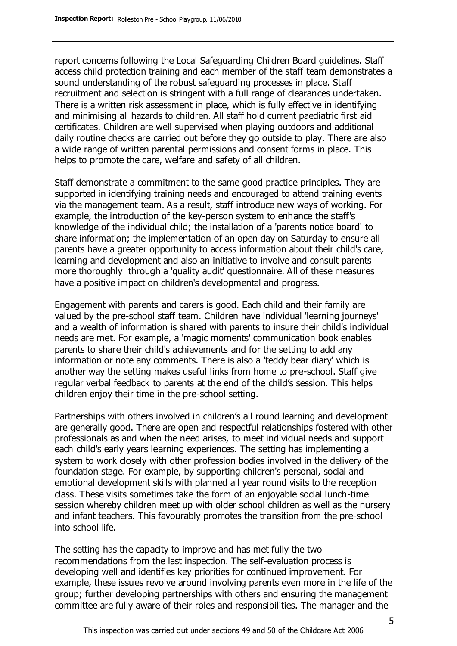report concerns following the Local Safeguarding Children Board guidelines. Staff access child protection training and each member of the staff team demonstrates a sound understanding of the robust safeguarding processes in place. Staff recruitment and selection is stringent with a full range of clearances undertaken. There is a written risk assessment in place, which is fully effective in identifying and minimising all hazards to children. All staff hold current paediatric first aid certificates. Children are well supervised when playing outdoors and additional daily routine checks are carried out before they go outside to play. There are also a wide range of written parental permissions and consent forms in place. This helps to promote the care, welfare and safety of all children.

Staff demonstrate a commitment to the same good practice principles. They are supported in identifying training needs and encouraged to attend training events via the management team. As a result, staff introduce new ways of working. For example, the introduction of the key-person system to enhance the staff's knowledge of the individual child; the installation of a 'parents notice board' to share information; the implementation of an open day on Saturday to ensure all parents have a greater opportunity to access information about their child's care, learning and development and also an initiative to involve and consult parents more thoroughly through a 'quality audit' questionnaire. All of these measures have a positive impact on children's developmental and progress.

Engagement with parents and carers is good. Each child and their family are valued by the pre-school staff team. Children have individual 'learning journeys' and a wealth of information is shared with parents to insure their child's individual needs are met. For example, a 'magic moments' communication book enables parents to share their child's achievements and for the setting to add any information or note any comments. There is also a 'teddy bear diary' which is another way the setting makes useful links from home to pre-school. Staff give regular verbal feedback to parents at the end of the child's session. This helps children enjoy their time in the pre-school setting.

Partnerships with others involved in children's all round learning and development are generally good. There are open and respectful relationships fostered with other professionals as and when the need arises, to meet individual needs and support each child's early years learning experiences. The setting has implementing a system to work closely with other profession bodies involved in the delivery of the foundation stage. For example, by supporting children's personal, social and emotional development skills with planned all year round visits to the reception class. These visits sometimes take the form of an enjoyable social lunch-time session whereby children meet up with older school children as well as the nursery and infant teachers. This favourably promotes the transition from the pre-school into school life.

The setting has the capacity to improve and has met fully the two recommendations from the last inspection. The self-evaluation process is developing well and identifies key priorities for continued improvement. For example, these issues revolve around involving parents even more in the life of the group; further developing partnerships with others and ensuring the management committee are fully aware of their roles and responsibilities. The manager and the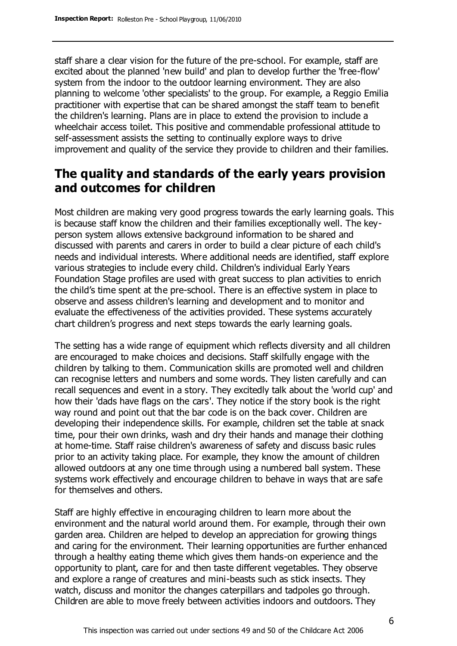staff share a clear vision for the future of the pre-school. For example, staff are excited about the planned 'new build' and plan to develop further the 'free-flow' system from the indoor to the outdoor learning environment. They are also planning to welcome 'other specialists' to the group. For example, a Reggio Emilia practitioner with expertise that can be shared amongst the staff team to benefit the children's learning. Plans are in place to extend the provision to include a wheelchair access toilet. This positive and commendable professional attitude to self-assessment assists the setting to continually explore ways to drive improvement and quality of the service they provide to children and their families.

## **The quality and standards of the early years provision and outcomes for children**

Most children are making very good progress towards the early learning goals. This is because staff know the children and their families exceptionally well. The keyperson system allows extensive background information to be shared and discussed with parents and carers in order to build a clear picture of each child's needs and individual interests. Where additional needs are identified, staff explore various strategies to include every child. Children's individual Early Years Foundation Stage profiles are used with great success to plan activities to enrich the child's time spent at the pre-school. There is an effective system in place to observe and assess children's learning and development and to monitor and evaluate the effectiveness of the activities provided. These systems accurately chart children's progress and next steps towards the early learning goals.

The setting has a wide range of equipment which reflects diversity and all children are encouraged to make choices and decisions. Staff skilfully engage with the children by talking to them. Communication skills are promoted well and children can recognise letters and numbers and some words. They listen carefully and can recall sequences and event in a story. They excitedly talk about the 'world cup' and how their 'dads have flags on the cars'. They notice if the story book is the right way round and point out that the bar code is on the back cover. Children are developing their independence skills. For example, children set the table at snack time, pour their own drinks, wash and dry their hands and manage their clothing at home-time. Staff raise children's awareness of safety and discuss basic rules prior to an activity taking place. For example, they know the amount of children allowed outdoors at any one time through using a numbered ball system. These systems work effectively and encourage children to behave in ways that are safe for themselves and others.

Staff are highly effective in encouraging children to learn more about the environment and the natural world around them. For example, through their own garden area. Children are helped to develop an appreciation for growing things and caring for the environment. Their learning opportunities are further enhanced through a healthy eating theme which gives them hands-on experience and the opportunity to plant, care for and then taste different vegetables. They observe and explore a range of creatures and mini-beasts such as stick insects. They watch, discuss and monitor the changes caterpillars and tadpoles go through. Children are able to move freely between activities indoors and outdoors. They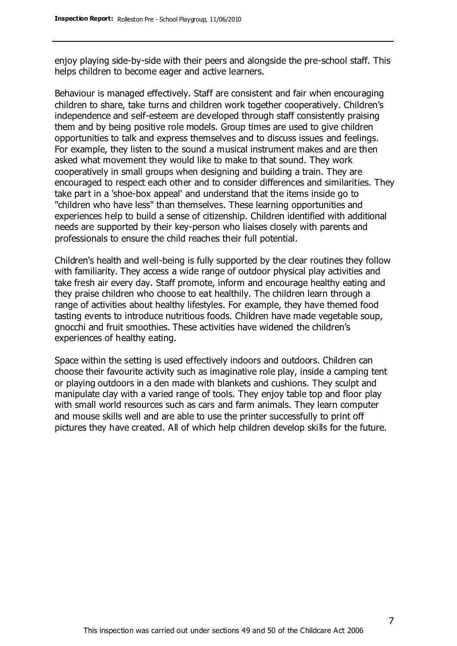enjoy playing side-by-side with their peers and alongside the pre-school staff. This helps children to become eager and active learners.

Behaviour is managed effectively. Staff are consistent and fair when encouraging children to share, take turns and children work together cooperatively. Children's independence and self-esteem are developed through staff consistently praising them and by being positive role models. Group times are used to give children opportunities to talk and express themselves and to discuss issues and feelings. For example, they listen to the sound a musical instrument makes and are then asked what movement they would like to make to that sound. They work cooperatively in small groups when designing and building a train. They are encouraged to respect each other and to consider differences and similarities. They take part in a 'shoe-box appeal' and understand that the items inside go to "children who have less" than themselves. These learning opportunities and experiences help to build a sense of citizenship. Children identified with additional needs are supported by their key-person who liaises closely with parents and professionals to ensure the child reaches their full potential.

Children's health and well-being is fully supported by the clear routines they follow with familiarity. They access a wide range of outdoor physical play activities and take fresh air every day. Staff promote, inform and encourage healthy eating and they praise children who choose to eat healthily. The children learn through a range of activities about healthy lifestyles. For example, they have themed food tasting events to introduce nutritious foods. Children have made vegetable soup, gnocchi and fruit smoothies. These activities have widened the children's experiences of healthy eating.

Space within the setting is used effectively indoors and outdoors. Children can choose their favourite activity such as imaginative role play, inside a camping tent or playing outdoors in a den made with blankets and cushions. They sculpt and manipulate clay with a varied range of tools. They enjoy table top and floor play with small world resources such as cars and farm animals. They learn computer and mouse skills well and are able to use the printer successfully to print off pictures they have created. All of which help children develop skills for the future.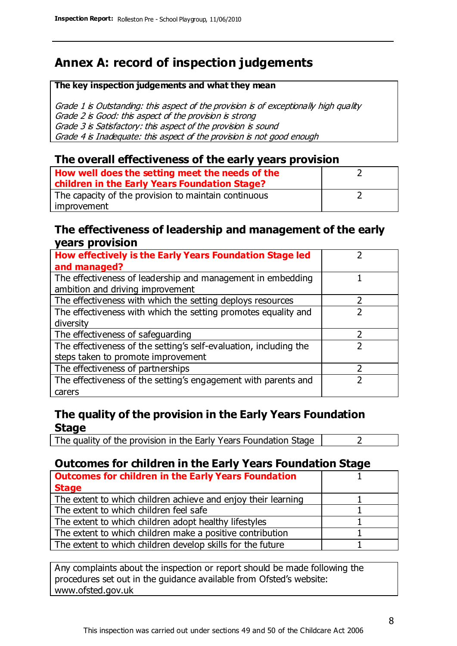# **Annex A: record of inspection judgements**

#### **The key inspection judgements and what they mean**

Grade 1 is Outstanding: this aspect of the provision is of exceptionally high quality Grade 2 is Good: this aspect of the provision is strong Grade 3 is Satisfactory: this aspect of the provision is sound Grade 4 is Inadequate: this aspect of the provision is not good enough

#### **The overall effectiveness of the early years provision**

| How well does the setting meet the needs of the<br>children in the Early Years Foundation Stage? |  |
|--------------------------------------------------------------------------------------------------|--|
| The capacity of the provision to maintain continuous                                             |  |
| improvement                                                                                      |  |

#### **The effectiveness of leadership and management of the early years provision**

| How effectively is the Early Years Foundation Stage led           |   |
|-------------------------------------------------------------------|---|
| and managed?                                                      |   |
| The effectiveness of leadership and management in embedding       |   |
| ambition and driving improvement                                  |   |
| The effectiveness with which the setting deploys resources        |   |
| The effectiveness with which the setting promotes equality and    |   |
| diversity                                                         |   |
| The effectiveness of safeguarding                                 | 2 |
| The effectiveness of the setting's self-evaluation, including the | 2 |
| steps taken to promote improvement                                |   |
| The effectiveness of partnerships                                 |   |
| The effectiveness of the setting's engagement with parents and    |   |
| carers                                                            |   |

#### **The quality of the provision in the Early Years Foundation Stage**

The quality of the provision in the Early Years Foundation Stage  $\vert$  2

#### **Outcomes for children in the Early Years Foundation Stage**

| <b>Outcomes for children in the Early Years Foundation</b>    |  |
|---------------------------------------------------------------|--|
| <b>Stage</b>                                                  |  |
| The extent to which children achieve and enjoy their learning |  |
| The extent to which children feel safe                        |  |
| The extent to which children adopt healthy lifestyles         |  |
| The extent to which children make a positive contribution     |  |
| The extent to which children develop skills for the future    |  |

Any complaints about the inspection or report should be made following the procedures set out in the guidance available from Ofsted's website: www.ofsted.gov.uk